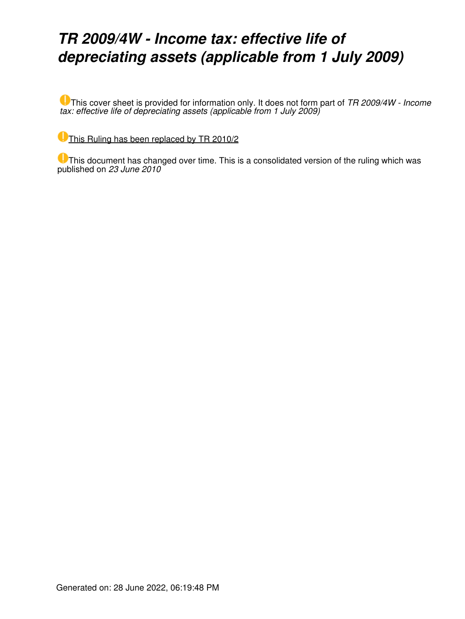## *TR 2009/4W - Income tax: effective life of depreciating assets (applicable from 1 July 2009)*

This cover sheet is provided for information only. It does not form part of *TR 2009/4W - Income tax: effective life of depreciating assets (applicable from 1 July 2009)*

[This Ruling has been replaced by TR 2010/2](https://www.ato.gov.au/law/view/document?LocID=%22TXR%2FTR20102%2FNAT%2FATO%22&PiT=20120627000001)

This document has changed over time. This is a consolidated version of the ruling which was published on *23 June 2010*